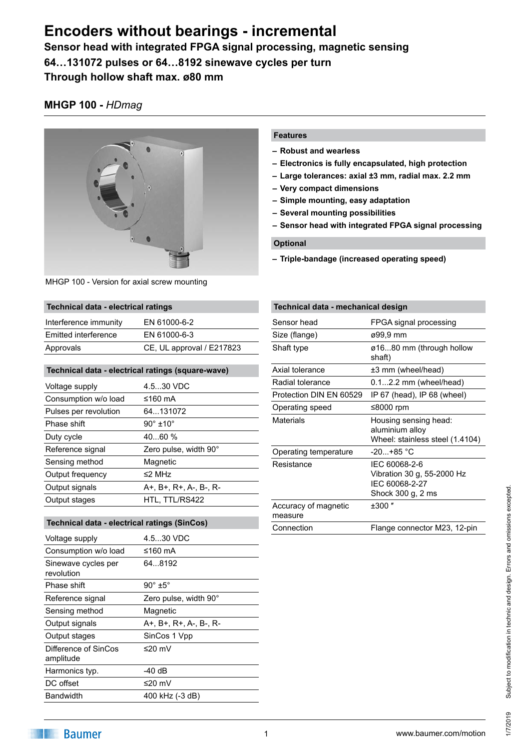# **Encoders without bearings - incremental**

**Sensor head with integrated FPGA signal processing, magnetic sensing 64…131072 pulses or 64…8192 sinewave cycles per turn Through hollow shaft max. ø80 mm**

## **MHGP 100 -** *HDmag*



MHGP 100 - Version for axial screw mounting

## **Technical data - electrical ratings**

| Interference immunity | EN 61000-6-2              |
|-----------------------|---------------------------|
| Emitted interference  | EN 61000-6-3              |
| Approvals             | CE, UL approval / E217823 |

## **Technical data - electrical ratings (square-wave)**

| Voltage supply        | 4.530 VDC               |
|-----------------------|-------------------------|
| Consumption w/o load  | ≤160 mA                 |
| Pulses per revolution | 64131072                |
| Phase shift           | $90^\circ \pm 10^\circ$ |
| Duty cycle            | 4060%                   |
| Reference signal      | Zero pulse, width 90°   |
| Sensing method        | Magnetic                |
| Output frequency      | $\leq$ 2 MHz            |
| Output signals        | A+, B+, R+, A-, B-, R-  |
| Output stages         | HTL, TTL/RS422          |
|                       |                         |

### **Technical data - electrical ratings (SinCos)**

| Voltage supply                    | 4.530 VDC              |
|-----------------------------------|------------------------|
| Consumption w/o load              | ≤160 mA                |
| Sinewave cycles per<br>revolution | 648192                 |
| Phase shift                       | $90^\circ \pm 5^\circ$ |
| Reference signal                  | Zero pulse, width 90°  |
| Sensing method                    | Magnetic               |
| Output signals                    | A+, B+, R+, A-, B-, R- |
| Output stages                     | SinCos 1 Vpp           |
| Difference of SinCos<br>amplitude | ≤20 mV                 |
| Harmonics typ.                    | -40 dB                 |
| DC offset                         | ≤20 mV                 |
| <b>Bandwidth</b>                  | 400 kHz (-3 dB)        |

### **Features**

- **– Robust and wearless**
- **– Electronics is fully encapsulated, high protection**
- **– Large tolerances: axial ±3 mm, radial max. 2.2 mm**
- **– Very compact dimensions**
- **– Simple mounting, easy adaptation**
- **– Several mounting possibilities**
- **– Sensor head with integrated FPGA signal processing**

## **Optional**

**– Triple-bandage (increased operating speed)**

| Technical data - mechanical design |                                                                                    |  |  |
|------------------------------------|------------------------------------------------------------------------------------|--|--|
| Sensor head                        | FPGA signal processing                                                             |  |  |
| Size (flange)                      | ø99.9 mm                                                                           |  |  |
| Shaft type                         | ø1680 mm (through hollow<br>shaft)                                                 |  |  |
| Axial tolerance                    | ±3 mm (wheel/head)                                                                 |  |  |
| Radial tolerance                   | $0.12.2$ mm (wheel/head)                                                           |  |  |
| Protection DIN EN 60529            | IP $67$ (head), IP $68$ (wheel)                                                    |  |  |
| Operating speed                    | ≤8000 rpm                                                                          |  |  |
| Materials                          | Housing sensing head:<br>aluminium alloy<br>Wheel: stainless steel (1.4104)        |  |  |
| Operating temperature              | -20+85 °C                                                                          |  |  |
| Resistance                         | IEC 60068-2-6<br>Vibration 30 g, 55-2000 Hz<br>IEC 60068-2-27<br>Shock 300 g, 2 ms |  |  |
| Accuracy of magnetic<br>measure    | $±300$ "                                                                           |  |  |
| Connection                         | Flange connector M23, 12-pin                                                       |  |  |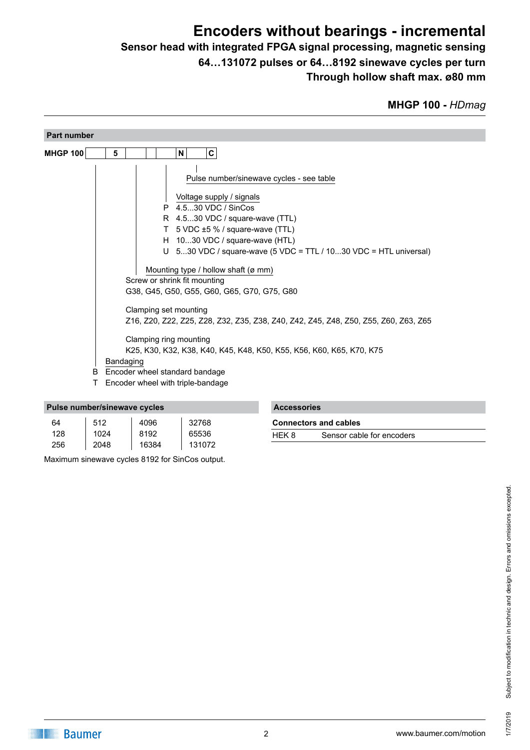# **Encoders without bearings - incremental**

## **Sensor head with integrated FPGA signal processing, magnetic sensing 64…131072 pulses or 64…8192 sinewave cycles per turn Through hollow shaft max. ø80 mm**

| <b>Part number</b> |           |                                                                                                                   |   |   |                                                                                                                                                                                                                                                                                                                                                                                                                                                                                                                                 |  |  |  |  |
|--------------------|-----------|-------------------------------------------------------------------------------------------------------------------|---|---|---------------------------------------------------------------------------------------------------------------------------------------------------------------------------------------------------------------------------------------------------------------------------------------------------------------------------------------------------------------------------------------------------------------------------------------------------------------------------------------------------------------------------------|--|--|--|--|
| <b>MHGP 100</b>    | 5         |                                                                                                                   |   | N | $\mathbf{C}$                                                                                                                                                                                                                                                                                                                                                                                                                                                                                                                    |  |  |  |  |
| B                  | Bandaging | Screw or shrink fit mounting<br>Clamping set mounting<br>Clamping ring mounting<br>Encoder wheel standard bandage | P |   | Pulse number/sinewave cycles - see table<br>Voltage supply / signals<br>4.530 VDC / SinCos<br>R 4.530 VDC / square-wave (TTL)<br>T 5 VDC ±5 % / square-wave (TTL)<br>H 1030 VDC / square-wave (HTL)<br>U $-530$ VDC / square-wave (5 VDC = TTL / 1030 VDC = HTL universal)<br>Mounting type / hollow shaft (ø mm)<br>G38, G45, G50, G55, G60, G65, G70, G75, G80<br>Z16, Z20, Z22, Z25, Z28, Z32, Z35, Z38, Z40, Z42, Z45, Z48, Z50, Z55, Z60, Z63, Z65<br>K25, K30, K32, K38, K40, K45, K48, K50, K55, K56, K60, K65, K70, K75 |  |  |  |  |
| Τ                  |           | Encoder wheel with triple-bandage                                                                                 |   |   |                                                                                                                                                                                                                                                                                                                                                                                                                                                                                                                                 |  |  |  |  |

| Pulse number/sinewave cycles |      |       |        |  |
|------------------------------|------|-------|--------|--|
| 64                           | 512  | 4096  | 32768  |  |
| 128                          | 1024 | 8192  | 65536  |  |
| 256                          | 2048 | 16384 | 131072 |  |

Maximum sinewave cycles 8192 for SinCos output.

| <b>Accessories</b>               |  |
|----------------------------------|--|
| Access to the contract the basic |  |

| <b>Connectors and cables</b> |                           |  |  |  |
|------------------------------|---------------------------|--|--|--|
| HEK 8                        | Sensor cable for encoders |  |  |  |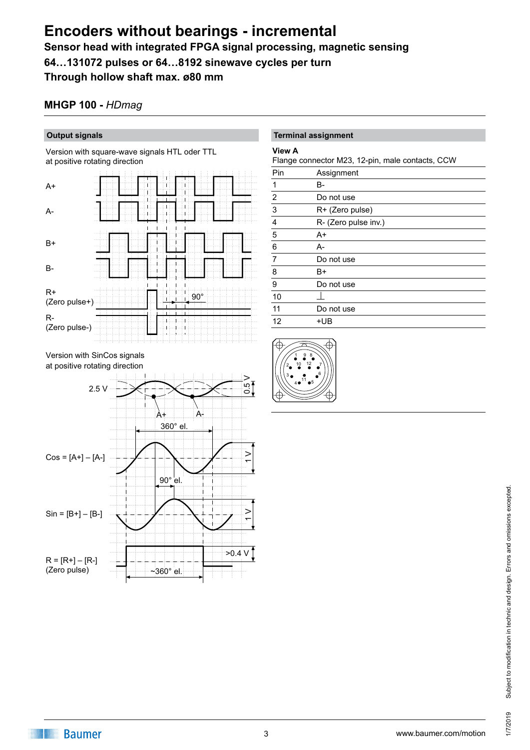## **Encoders without bearings - incremental Sensor head with integrated FPGA signal processing, magnetic sensing 64…131072 pulses or 64…8192 sinewave cycles per turn**

**Through hollow shaft max. ø80 mm**

## **MHGP 100 -** *HDmag*

## **Output signals**

Version with square-wave signals HTL oder TTL at positive rotating direction



Version with SinCos signals at positive rotating direction



### **Terminal assignment**

#### **View A**

Flange connector M23, 12-pin, male contacts, CCW

| Pin                     | Assignment           |
|-------------------------|----------------------|
| 1                       | B-                   |
| $\overline{2}$          | Do not use           |
| $\overline{3}$          | R+ (Zero pulse)      |
| $\overline{\mathbf{4}}$ | R- (Zero pulse inv.) |
| 5                       | A+                   |
| 6                       | A-                   |
| $\overline{7}$          | Do not use           |
| 8                       | B+                   |
| 9                       | Do not use           |
| 10                      |                      |
| 11                      | Do not use           |
| 12                      | +UB                  |
|                         |                      |

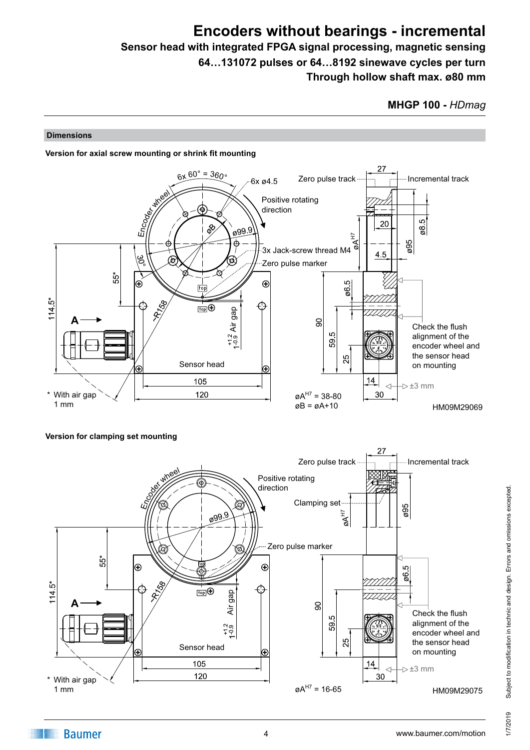## **Encoders without bearings - incremental Sensor head with integrated FPGA signal processing, magnetic sensing 64…131072 pulses or 64…8192 sinewave cycles per turn**

**Through hollow shaft max. ø80 mm**

## **Dimensions**





## **Version for clamping set mounting**